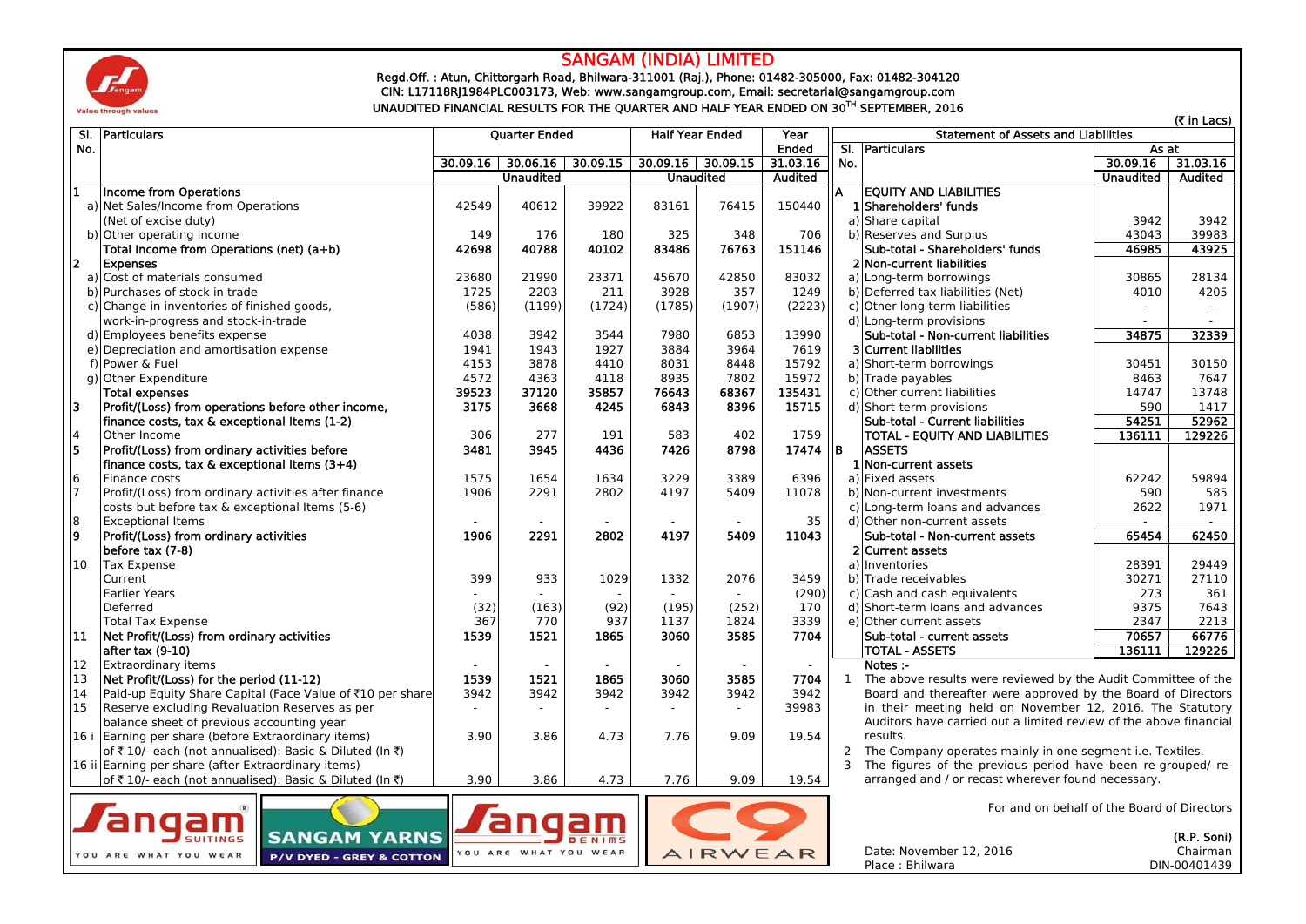

## SANGAM (INDIA) LIMITED

Regd.Off. : Atun, Chittorgarh Road, Bhilwara-311001 (Raj.), Phone: 01482-305000, Fax: 01482-304120 CIN: L17118RJ1984PLC003173, Web: www.sangamgroup.com, Email: secretarial@sangamgroup.com UNAUDITED FINANCIAL RESULTS FOR THE QUARTER AND HALF YEAR ENDED ON 30TH SEPTEMBER, 2016

|                                             | SI. Particulars<br><b>Ouarter Ended</b>                                        |          |                  | <b>Half Year Ended</b><br>Year |                          |                     |          | <b>Statement of Assets and Liabilities</b>                                                                                    |                                                                   | (₹ in Lacs)      |             |
|---------------------------------------------|--------------------------------------------------------------------------------|----------|------------------|--------------------------------|--------------------------|---------------------|----------|-------------------------------------------------------------------------------------------------------------------------------|-------------------------------------------------------------------|------------------|-------------|
| No.                                         |                                                                                |          |                  |                                |                          | Ended               |          | SI. Particulars                                                                                                               | As at                                                             |                  |             |
|                                             |                                                                                | 30.09.16 | 30.06.16         | 30.09.15                       |                          | $30.09.16$ 30.09.15 | 31.03.16 | No.                                                                                                                           |                                                                   | 30.09.16         | 31.03.16    |
|                                             |                                                                                |          | <b>Unaudited</b> |                                |                          | <b>Unaudited</b>    | Audited  |                                                                                                                               |                                                                   | <b>Unaudited</b> | Audited     |
| $\mathbf{1}$                                | <b>Income from Operations</b>                                                  |          |                  |                                |                          |                     |          | А                                                                                                                             | <b>EQUITY AND LIABILITIES</b>                                     |                  |             |
|                                             | a) Net Sales/Income from Operations                                            | 42549    | 40612            | 39922                          | 83161                    | 76415               | 150440   |                                                                                                                               | 1 Shareholders' funds                                             |                  |             |
|                                             | (Net of excise duty)                                                           |          |                  |                                |                          |                     |          |                                                                                                                               | a) Share capital                                                  | 3942             | 3942        |
|                                             | b) Other operating income                                                      | 149      | 176              | 180                            | 325                      | 348                 | 706      |                                                                                                                               | b) Reserves and Surplus                                           | 43043            | 39983       |
|                                             | Total Income from Operations (net) (a+b)                                       | 42698    | 40788            | 40102                          | 83486                    | 76763               | 151146   |                                                                                                                               | Sub-total - Shareholders' funds                                   | 46985            | 43925       |
| $\overline{2}$                              | <b>Expenses</b>                                                                |          |                  |                                |                          |                     |          |                                                                                                                               | 2 Non-current liabilities                                         |                  |             |
|                                             | a) Cost of materials consumed                                                  | 23680    | 21990            | 23371                          | 45670                    | 42850               | 83032    |                                                                                                                               | a) Long-term borrowings                                           | 30865            | 28134       |
|                                             | b) Purchases of stock in trade                                                 | 1725     | 2203             | 211                            | 3928                     | 357                 | 1249     |                                                                                                                               | b) Deferred tax liabilities (Net)                                 | 4010             | 4205        |
|                                             | c) Change in inventories of finished goods,                                    | (586)    | (1199)           | (1724)                         | (1785)                   | (1907)              | (2223)   |                                                                                                                               | c) Other long-term liabilities                                    | $\sim$           |             |
|                                             | work-in-progress and stock-in-trade                                            |          |                  |                                |                          |                     |          |                                                                                                                               | d) Long-term provisions                                           | $\sim$           |             |
|                                             | d) Employees benefits expense                                                  | 4038     | 3942             | 3544                           | 7980                     | 6853                | 13990    |                                                                                                                               | Sub-total - Non-current liabilities                               | 34875            | 32339       |
|                                             | e) Depreciation and amortisation expense                                       | 1941     | 1943             | 1927                           | 3884                     | 3964                | 7619     |                                                                                                                               | <b>3</b> Current liabilities                                      |                  |             |
|                                             | f) Power & Fuel                                                                | 4153     | 3878             | 4410                           | 8031                     | 8448                | 15792    |                                                                                                                               | a) Short-term borrowings                                          | 30451            | 30150       |
|                                             | g) Other Expenditure                                                           | 4572     | 4363             | 4118                           | 8935                     | 7802                | 15972    |                                                                                                                               | b) Trade payables                                                 | 8463             | 7647        |
|                                             | <b>Total expenses</b>                                                          | 39523    | 37120            | 35857                          | 76643                    | 68367               | 135431   |                                                                                                                               | c) Other current liabilities                                      | 14747            | 13748       |
| 3                                           | Profit/(Loss) from operations before other income,                             | 3175     | 3668             | 4245                           | 6843                     | 8396                | 15715    |                                                                                                                               | d) Short-term provisions                                          | 590              | 1417        |
|                                             | finance costs, tax & exceptional Items (1-2)                                   |          |                  |                                |                          |                     |          |                                                                                                                               | Sub-total - Current liabilities                                   | 54251            | 52962       |
|                                             | Other Income                                                                   | 306      | 277              | 191                            | 583                      | 402                 | 1759     |                                                                                                                               | <b>TOTAL - EOUITY AND LIABILITIES</b>                             | 136111           | 129226      |
| $\begin{array}{c} 4 \\ 5 \end{array}$       | Profit/(Loss) from ordinary activities before                                  | 3481     | 3945             | 4436                           | 7426                     | 8798                | 17474 IB |                                                                                                                               | <b>ASSETS</b>                                                     |                  |             |
|                                             | finance costs, tax & exceptional Items (3+4)                                   |          |                  |                                |                          |                     |          |                                                                                                                               | 1 Non-current assets                                              |                  |             |
|                                             | Finance costs                                                                  | 1575     | 1654             | 1634                           | 3229                     | 3389                | 6396     |                                                                                                                               | a) Fixed assets                                                   | 62242            | 59894       |
| $\begin{array}{c} 6 \\ 7 \end{array}$       | Profit/(Loss) from ordinary activities after finance                           | 1906     | 2291             | 2802                           | 4197                     | 5409                | 11078    |                                                                                                                               | b) Non-current investments                                        | 590              | 585         |
|                                             | costs but before tax & exceptional Items (5-6)                                 |          |                  |                                |                          |                     |          |                                                                                                                               | c) Long-term loans and advances                                   | 2622             | 1971        |
|                                             | <b>Exceptional Items</b>                                                       |          |                  |                                |                          |                     | 35       |                                                                                                                               | d) Other non-current assets                                       |                  |             |
| $\frac{8}{9}$                               | Profit/(Loss) from ordinary activities                                         | 1906     | 2291             | 2802                           | 4197                     | 5409                | 11043    |                                                                                                                               | Sub-total - Non-current assets                                    | 65454            | 62450       |
|                                             | before tax (7-8)                                                               |          |                  |                                |                          |                     |          |                                                                                                                               | 2 Current assets                                                  |                  |             |
| 10                                          | <b>Tax Expense</b>                                                             |          |                  |                                |                          |                     |          |                                                                                                                               | a) Inventories                                                    | 28391            | 29449       |
|                                             | Current                                                                        | 399      | 933              | 1029                           | 1332                     | 2076                | 3459     |                                                                                                                               | b) Trade receivables                                              | 30271            | 27110       |
|                                             | <b>Earlier Years</b>                                                           |          |                  |                                |                          | $\sim$              | (290)    |                                                                                                                               | c) Cash and cash equivalents                                      | 273              | 361         |
|                                             | Deferred                                                                       | (32)     | (163)            | (92)                           | (195)                    | (252)               | 170      |                                                                                                                               | d) Short-term loans and advances                                  | 9375             | 7643        |
|                                             | <b>Total Tax Expense</b>                                                       | 367      | 770              | 937                            | 1137                     | 1824                | 3339     |                                                                                                                               | e) Other current assets                                           | 2347             | 2213        |
| 11                                          | Net Profit/(Loss) from ordinary activities                                     | 1539     | 1521             | 1865                           | 3060                     | 3585                | 7704     |                                                                                                                               | Sub-total - current assets                                        | 70657            | 66776       |
|                                             | after tax (9-10)                                                               |          |                  |                                |                          |                     |          |                                                                                                                               | <b>TOTAL - ASSETS</b>                                             | 136111           | 129226      |
| 12                                          | <b>Extraordinary items</b>                                                     | $\sim$   | $\sim$           |                                | $\overline{\phantom{a}}$ | $\overline{a}$      | $\sim$   |                                                                                                                               | Notes :-                                                          |                  |             |
| 13                                          | Net Profit/(Loss) for the period (11-12)                                       | 1539     | 1521             | 1865                           | 3060                     | 3585                | 7704     |                                                                                                                               | 1 The above results were reviewed by the Audit Committee of the   |                  |             |
| 14                                          | Paid-up Equity Share Capital (Face Value of ₹10 per share                      | 3942     | 3942             | 3942                           | 3942                     | 3942                | 3942     |                                                                                                                               | Board and thereafter were approved by the Board of Directors      |                  |             |
| 15                                          | Reserve excluding Revaluation Reserves as per                                  |          |                  |                                |                          | $\sim$              | 39983    |                                                                                                                               | in their meeting held on November 12, 2016. The Statutory         |                  |             |
|                                             | balance sheet of previous accounting year                                      |          |                  |                                |                          |                     |          |                                                                                                                               | Auditors have carried out a limited review of the above financial |                  |             |
|                                             | 16 i Earning per share (before Extraordinary items)                            | 3.90     | 3.86             | 4.73                           | 7.76                     | 9.09                | 19.54    |                                                                                                                               | results.                                                          |                  |             |
|                                             | of ₹10/- each (not annualised): Basic & Diluted (In ₹)                         |          |                  |                                |                          |                     |          |                                                                                                                               |                                                                   |                  |             |
|                                             | 16 ii Earning per share (after Extraordinary items)                            |          |                  |                                |                          |                     |          | 2 The Company operates mainly in one segment i.e. Textiles.<br>3 The figures of the previous period have been re-grouped/ re- |                                                                   |                  |             |
|                                             | 3.90<br>3.86<br>4.73<br>of ₹10/- each (not annualised): Basic & Diluted (In ₹) |          |                  | 7.76                           | 9.09                     | 19.54               |          | arranged and / or recast wherever found necessary.                                                                            |                                                                   |                  |             |
|                                             |                                                                                |          |                  |                                |                          |                     |          |                                                                                                                               |                                                                   |                  |             |
| For and on behalf of the Board of Directors |                                                                                |          |                  |                                |                          |                     |          |                                                                                                                               |                                                                   |                  |             |
| anqam<br>angam                              |                                                                                |          |                  |                                |                          |                     |          |                                                                                                                               |                                                                   |                  |             |
|                                             | <b>SANGAM YARNS</b><br><b>SUITINGS</b>                                         |          |                  |                                |                          |                     |          |                                                                                                                               |                                                                   |                  | (R.P. Soni) |







Date: November 12, 2016

DIN-00401439

Chairman

Place : Bhilwara